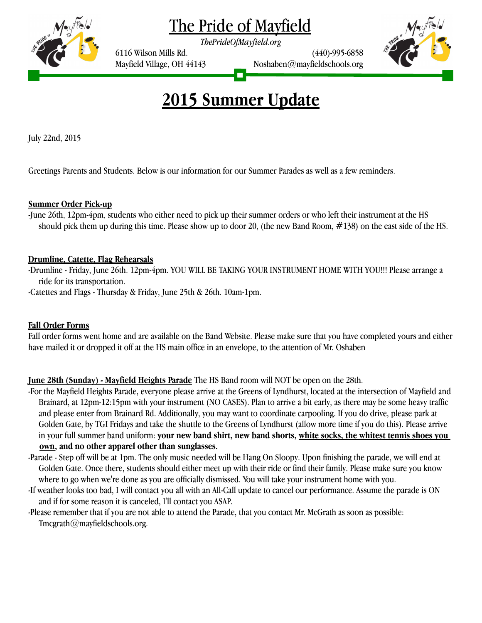

## The Pride of Mayfield

*ThePrideOfMayfield.org* 

6116 Wilson Mills Rd. (440)-995-6858 Mayfield Village, OH 44143 Noshaben@mayfieldschools.org



## **2015 Summer Update**

July 22nd, 2015

Greetings Parents and Students. Below is our information for our Summer Parades as well as a few reminders.

#### **Summer Order Pick-up**

-June 26th, 12pm-4pm, students who either need to pick up their summer orders or who left their instrument at the HS should pick them up during this time. Please show up to door 20, (the new Band Room, #138) on the east side of the HS.

#### **Drumline, Catette, Flag Rehearsals**

-Drumline - Friday, June 26th. 12pm-4pm. YOU WILL BE TAKING YOUR INSTRUMENT HOME WITH YOU!!! Please arrange a ride for its transportation.

-Catettes and Flags - Thursday & Friday, June 25th & 26th. 10am-1pm.

#### **Fall Order Forms**

Fall order forms went home and are available on the Band Website. Please make sure that you have completed yours and either have mailed it or dropped it off at the HS main office in an envelope, to the attention of Mr. Oshaben

**June 28th (Sunday) - Mayfield Heights Parade** The HS Band room will NOT be open on the 28th.

- -For the Mayfield Heights Parade, everyone please arrive at the Greens of Lyndhurst, located at the intersection of Mayfield and Brainard, at 12pm-12:15pm with your instrument (NO CASES). Plan to arrive a bit early, as there may be some heavy traffic and please enter from Brainard Rd. Additionally, you may want to coordinate carpooling. If you do drive, please park at Golden Gate, by TGI Fridays and take the shuttle to the Greens of Lyndhurst (allow more time if you do this). Please arrive in your full summer band uniform: **your new band shirt, new band shorts, white socks, the whitest tennis shoes you own, and no other apparel other than sunglasses.**
- -Parade Step off will be at 1pm. The only music needed will be Hang On Sloopy. Upon finishing the parade, we will end at Golden Gate. Once there, students should either meet up with their ride or find their family. Please make sure you know where to go when we're done as you are officially dismissed. You will take your instrument home with you.
- -If weather looks too bad, I will contact you all with an All-Call update to cancel our performance. Assume the parade is ON and if for some reason it is canceled, I'll contact you ASAP.
- -Please remember that if you are not able to attend the Parade, that you contact Mr. McGrath as soon as possible: Tmcgrath@mayfieldschools.org.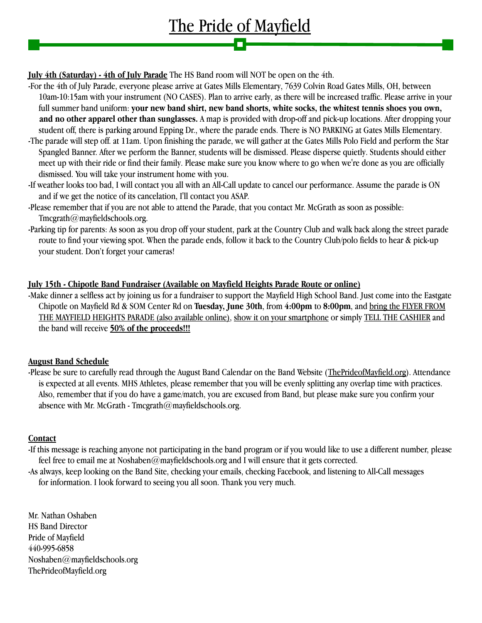**July 4th (Saturday) - 4th of July Parade** The HS Band room will NOT be open on the 4th.

-For the 4th of July Parade, everyone please arrive at Gates Mills Elementary, 7639 Colvin Road Gates Mills, OH, between 10am-10:15am with your instrument (NO CASES). Plan to arrive early, as there will be increased traffic. Please arrive in your full summer band uniform: **your new band shirt, new band shorts, white socks, the whitest tennis shoes you own, and no other apparel other than sunglasses.** A map is provided with drop-off and pick-up locations. After dropping your student off, there is parking around Epping Dr., where the parade ends. There is NO PARKING at Gates Mills Elementary.

The Pride of Mayfield

- -The parade will step off. at 11am. Upon finishing the parade, we will gather at the Gates Mills Polo Field and perform the Star Spangled Banner. After we perform the Banner, students will be dismissed. Please disperse quietly. Students should either meet up with their ride or find their family. Please make sure you know where to go when we're done as you are officially dismissed. You will take your instrument home with you.
- -If weather looks too bad, I will contact you all with an All-Call update to cancel our performance. Assume the parade is ON and if we get the notice of its cancelation, I'll contact you ASAP.
- -Please remember that if you are not able to attend the Parade, that you contact Mr. McGrath as soon as possible: Tmcgrath@mayfieldschools.org.
- -Parking tip for parents: As soon as you drop off your student, park at the Country Club and walk back along the street parade route to find your viewing spot. When the parade ends, follow it back to the Country Club/polo fields to hear & pick-up your student. Don't forget your cameras!

## **July 15th - Chipotle Band Fundraiser (Available on Mayfield Heights Parade Route or online)**

-Make dinner a selfless act by joining us for a fundraiser to support the Mayfield High School Band. Just come into the Eastgate Chipotle on Mayfield Rd & SOM Center Rd on **Tuesday, June 30th**, from **4:00pm** to **8:00pm**, and bring the FLYER FROM THE MAYFIELD HEIGHTS PARADE (also available online), show it on your smartphone or simply TELL THE CASHIER and the band will receive **50% of the proceeds!!!**

## **August Band Schedule**

-Please be sure to carefully read through the August Band Calendar on the Band Website ([ThePrideofMayfield.org\)](http://ThePrideofMayfield.org). Attendance is expected at all events. MHS Athletes, please remember that you will be evenly splitting any overlap time with practices. Also, remember that if you do have a game/match, you are excused from Band, but please make sure you confirm your absence with Mr. McGrath - Tmcgrath@mayfieldschools.org.

## **Contact**

-If this message is reaching anyone not participating in the band program or if you would like to use a different number, please feel free to email me at Noshaben@mayfieldschools.org and I will ensure that it gets corrected.

-As always, keep looking on the Band Site, checking your emails, checking Facebook, and listening to All-Call messages for information. I look forward to seeing you all soon. Thank you very much.

Mr. Nathan Oshaben HS Band Director Pride of Mayfield 440-995-6858 Noshaben@mayfieldschools.org ThePrideofMayfield.org